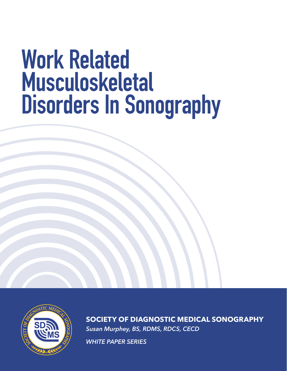# **Work Related Musculoskeletal Disorders In Sonography**



**SOCIETY OF DIAGNOSTIC MEDICAL SONOGRAPHY** *Susan Murphey, BS, RDMS, RDCS, CECD WHITE PAPER SERIES*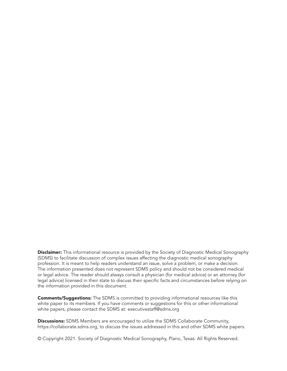**Disclaimer:** This informational resource is provided by the Society of Diagnostic Medical Sonography (SDMS) to facilitate discussion of complex issues affecting the diagnostic medical sonography profession. It is meant to help readers understand an issue, solve a problem, or make a decision. The information presented does not represent SDMS policy and should not be considered medical or legal advice. The reader should always consult a physician (for medical advice) or an attorney (for legal advice) licensed in their state to discuss their specific facts and circumstances before relying on the information provided in this document.

**Comments/Suggestions:** The SDMS is committed to providing informational resources like this white paper to its members. If you have comments or suggestions for this or other informational white papers, please contact the SDMS at: executivestaff@sdms.org

Discussions: SDMS Members are encouraged to utilize the SDMS Collaborate Community, https://collaborate.sdms.org, to discuss the issues addressed in this and other SDMS white papers.

© Copyright 2021. Society of Diagnostic Medical Sonography, Plano, Texas. All Rights Reserved.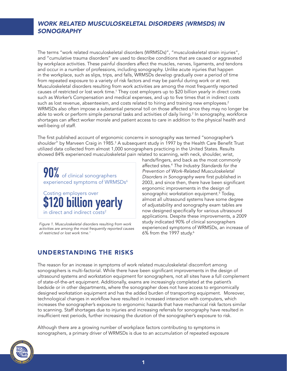The terms "work related musculoskeletal disorders (WRMSDs)", "musculoskeletal strain injuries", and "cumulative trauma disorders" are used to describe conditions that are caused or aggravated by workplace activities. These painful disorders affect the muscles, nerves, ligaments, and tendons and occur in a number of professions, including sonography. Unlike acute injuries that happen in the workplace, such as slips, trips, and falls, WRMSDs develop gradually over a period of time from repeated exposure to a variety of risk factors and may be painful during work or at rest. Musculoskeletal disorders resulting from work activities are among the most frequently reported causes of restricted or lost work time.1 They cost employers up to \$20 billion yearly in direct costs such as Worker's Compensation and medical expenses, and up to five times that in indirect costs such as lost revenue, absenteeism, and costs related to hiring and training new employees.<sup>2</sup> WRMSDs also often impose a substantial personal toll on those affected since they may no longer be able to work or perform simple personal tasks and activities of daily living. $^2$  In sonography, workforce shortages can affect worker morale and patient access to care in addition to the physical health and well-being of staff.

The first published account of ergonomic concerns in sonography was termed "sonographer's shoulder" by Marveen Craig in 1985.<sup>3</sup> A subsequent study in 1997 by the Health Care Benefit Trust utilized data collected from almost 1,000 sonographers practicing in the United States. Results showed 84% experienced musculoskeletal pain related to scanning, with neck, shoulder, wrist,



*Figure 1. Musculoskeletal disorders resulting from work activities are among the most frequently reported causes of restricted or lost work time.1*

hands/fingers, and back as the most commonly affected sites.4 *The Industry Standards for the Prevention of Work-Related Musculoskeletal Disorders in Sonography* were first published in 2003, and since then, there have been significant ergonomic improvements in the design of sonographic workstation equipment.5 Today, almost all ultrasound systems have some degree of adjustability and sonography exam tables are now designed specifically for various ultrasound applications. Despite these improvements, a 2009 study indicated 90% of clinical sonographers experienced symptoms of WRMSDs, an increase of 6% from the 1997 study.<sup>6</sup>

# UNDERSTANDING THE RISKS

The reason for an increase in symptoms of work related musculoskeletal discomfort among sonographers is multi-factorial. While there have been significant improvements in the design of ultrasound systems and workstation equipment for sonographers, not all sites have a full complement of state-of-the-art equipment. Additionally, exams are increasingly completed at the patient's bedside or in other departments, where the sonographer does not have access to ergonomically designed workstation equipment and has the added burden of transporting equipment. Moreover, technological changes in workflow have resulted in increased interaction with computers, which increases the sonographer's exposure to ergonomic hazards that have mechanical risk factors similar to scanning. Staff shortages due to injuries and increasing referrals for sonography have resulted in insufficient rest periods, further increasing the duration of the sonographer's exposure to risk.

Although there are a growing number of workplace factors contributing to symptoms in sonographers, a primary driver of WRMSDs is due to an accumulation of repeated exposure

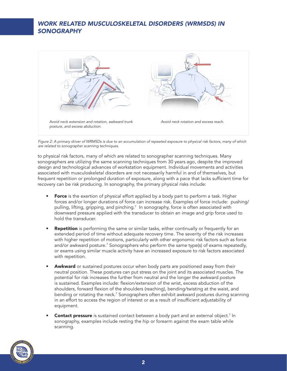

*Figure 2: A primary driver of WRMSDs is due to an accumulation of repeated exposure to physical risk factors, many of which are related to sonographer scanning techniques.*

to physical risk factors, many of which are related to sonographer scanning techniques. Many sonographers are utilizing the same scanning techniques from 30 years ago, despite the improved design and technological advances of workstation equipment. Individual movements and activities associated with musculoskeletal disorders are not necessarily harmful in and of themselves, but frequent repetition or prolonged duration of exposure, along with a pace that lacks sufficient time for recovery can be risk producing. In sonography, the primary physical risks include:

- **Force** is the exertion of physical effort applied by a body part to perform a task. Higher forces and/or longer durations of force can increase risk. Examples of force include: pushing/ pulling, lifting, gripping, and pinching.7 In sonography, force is often associated with downward pressure applied with the transducer to obtain an image and grip force used to hold the transducer.
- **Repetition** is performing the same or similar tasks, either continually or frequently for an extended period of time without adequate recovery time. The severity of the risk increases with higher repetition of motions, particularly with other ergonomic risk factors such as force and/or awkward posture.7 Sonographers who perform the same type(s) of exams repeatedly, or exams using similar muscle activity have an increased exposure to risk factors associated with repetition.
- Awkward or sustained postures occur when body parts are positioned away from their neutral position. These postures can put stress on the joint and its associated muscles. The potential for risk increases the further from neutral and the longer the awkward posture is sustained. Examples include: flexion/extension of the wrist, excess abduction of the shoulders, forward flexion of the shoulders (reaching), bending/twisting at the waist, and bending or rotating the neck.<sup>7</sup> Sonographers often exhibit awkward postures during scanning in an effort to access the region of interest or as a result of insufficient adjustability of equipment.
- Contact pressure is sustained contact between a body part and an external object.<sup>7</sup> In sonography, examples include resting the hip or forearm against the exam table while scanning.

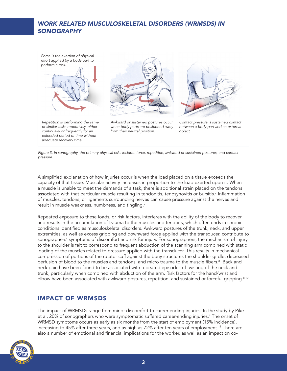

*Figure 3. In sonography, the primary physical risks include: force, repetition, awkward or sustained postures, and contact pressure.*

A simplified explanation of how injuries occur is when the load placed on a tissue exceeds the capacity of that tissue. Muscular activity increases in proportion to the load exerted upon it. When a muscle is unable to meet the demands of a task, there is additional strain placed on the tendons associated with that particular muscle resulting in tendonitis, tenosynovitis or bursitis.<sup>7</sup> Inflammation of muscles, tendons, or ligaments surrounding nerves can cause pressure against the nerves and result in muscle weakness, numbness, and tingling.<sup>7</sup>

Repeated exposure to these loads, or risk factors, interferes with the ability of the body to recover and results in the accumulation of trauma to the muscles and tendons, which often ends in chronic conditions identified as musculoskeletal disorders. Awkward postures of the trunk, neck, and upper extremities, as well as excess gripping and downward force applied with the transducer, contribute to sonographers' symptoms of discomfort and risk for injury. For sonographers, the mechanism of injury to the shoulder is felt to correspond to frequent abduction of the scanning arm combined with static loading of the muscles related to pressure applied with the transducer. This results in mechanical compression of portions of the rotator cuff against the bony structures the shoulder girdle, decreased perfusion of blood to the muscles and tendons, and micro trauma to the muscle fibers.<sup>8</sup> Back and neck pain have been found to be associated with repeated episodes of twisting of the neck and trunk, particularly when combined with abduction of the arm. Risk factors for the hand/wrist and elbow have been associated with awkward postures, repetition, and sustained or forceful gripping.<sup>8,10</sup>

# IMPACT OF WRMSDS

The impact of WRMSDs range from minor discomfort to career-ending injuries. In the study by Pike et al, 20% of sonographers who were symptomatic suffered career-ending injuries.4 The onset of WRMSD symptoms occurs as early as six months from the start of employment (15% incidence), increasing to 45% after three years, and as high as 72% after ten years of employment.<sup>11</sup> There are also a number of emotional and financial implications for the worker, as well as an impact on co-

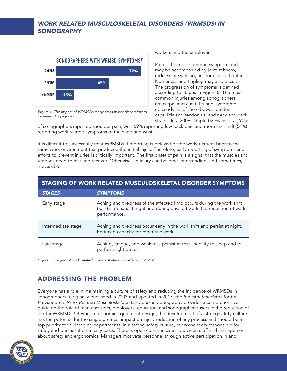

*Figure 4. The impact of WRMSDs range from minor discomfort to career-ending injuries.*

workers and the employer.

Pain is the most common symptom and may be accompanied by joint stiffness, redness or swelling, and/or muscle tightness. Numbness and tingling may also occur. The progression of symptoms is defined according to stages in Figure 5. The most common injuries among sonographers are carpal and cubital tunnel syndrome, epicondylitis of the elbow, shoulder capsulitis and tendonitis, and neck and back strains. In a 2009 sample by Evans et al, 90%

of sonographers reported shoulder pain, with 69% reporting low back pain and more than half (54%) reporting work related symptoms of the hand and wrist.<sup>6</sup>

It is difficult to successfully treat WRMSDs if reporting is delayed or the worker is sent back to the same work environment that produced the initial injury. Therefore, early reporting of symptoms and efforts to prevent injuries is critically important. The first onset of pain is a signal that the muscles and tendons need to rest and recover. Otherwise, an injury can become longstanding, and sometimes, irreversible.

| STAGING OF WORK RELATED MUSCULOSKELETAL DISORDER SYMPTOMS |                                                                                                                                                                  |
|-----------------------------------------------------------|------------------------------------------------------------------------------------------------------------------------------------------------------------------|
| <b>STAGES</b>                                             | <b>SYMPTOMS</b>                                                                                                                                                  |
| Early stage                                               | Aching and tiredness of the affected limb occurs during the work shift<br>but disappears at night and during days off work. No reduction of work<br>performance. |
| Intermediate stage                                        | Aching and tiredness occur early in the work shift and persist at night.<br>Reduced capacity for repetitive work.                                                |
| Late stage                                                | Aching, fatigue, and weakness persist at rest. Inability to sleep and to<br>perform light duties.                                                                |

*Figure 5. Staging of work related musculoskeletal disorder symptoms9*

# ADDRESSING THE PROBLEM

Everyone has a role in maintaining a culture of safety and reducing the incidence of WRMSDs in sonographers. Originally published in 2003 and updated in 2017, the *Industry Standards for the Prevention of Work Related Musculoskeletal Disorders in Sonography* provides a comprehensive guide on the role of manufacturers, employers, educators and sonographers/users in the reduction of risk for WRMSDs.<sup>5</sup> Beyond ergonomic equipment design, the development of a strong safety culture has the potential for the single greatest impact on injury reduction of any process and should be a top priority for all imaging departments. In a strong safety culture, everyone feels responsible for safety and pursues it on a daily basis. There is open communication between staff and management about safety and ergonomics. Managers motivate personnel through active participation in and

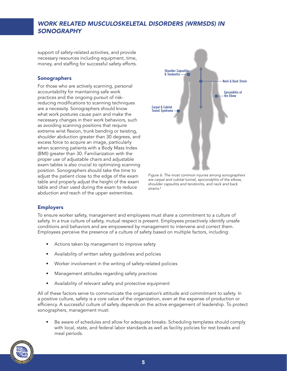support of safety-related activities, and provide necessary resources including equipment, time, money, and staffing for successful safety efforts.

#### Sonographers

For those who are actively scanning, personal accountability for maintaining safe work practices and the ongoing pursuit of riskreducing modifications to scanning techniques are a necessity. Sonographers should know what work postures cause pain and make the necessary changes in their work behaviors, such as avoiding scanning positions that require extreme wrist flexion, trunk bending or twisting, shoulder abduction greater than 30 degrees, and excess force to acquire an image, particularly when scanning patients with a Body Mass Index (BMI) greater than 30. Familiarization with the proper use of adjustable chairs and adjustable exam tables is also crucial to optimizing scanning position. Sonographers should take the time to adjust the patient close to the edge of the exam table and properly adjust the height of the exam table and chair used during the exam to reduce abduction and reach of the upper extremities.



*Figure 6. The most common injuries among sonographers are carpal and cubital tunnel, epicondylitis of the elbow, shoulder capsulitis and tendonitis, and neck and back strains.6*

#### Employers

To ensure worker safety, management and employees must share a commitment to a culture of safety. In a true culture of safety, mutual respect is present. Employees proactively identify unsafe conditions and behaviors and are empowered by management to intervene and correct them. Employees perceive the presence of a culture of safety based on multiple factors, including:

- Actions taken by management to improve safety
- Availability of written safety guidelines and policies
- Worker involvement in the writing of safety-related policies
- Management attitudes regarding safety practices
- Availability of relevant safety and protective equipment

All of these factors serve to communicate the organization's attitude and commitment to safety. In a positive culture, safety is a core value of the organization, even at the expense of production or efficiency. A successful culture of safety depends on the active engagement of leadership. To protect sonographers, management must:

Be aware of schedules and allow for adequate breaks. Scheduling templates should comply with local, state, and federal labor standards as well as facility policies for rest breaks and meal periods.

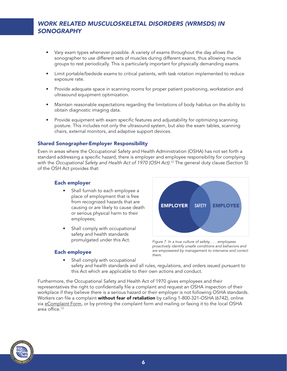- Vary exam types whenever possible. A variety of exams throughout the day allows the sonographer to use different sets of muscles during different exams, thus allowing muscle groups to rest periodically. This is particularly important for physically demanding exams.
- Limit portable/bedside exams to critical patients, with task rotation implemented to reduce exposure rate.
- Provide adequate space in scanning rooms for proper patient positioning, workstation and ultrasound equipment optimization.
- Maintain reasonable expectations regarding the limitations of body habitus on the ability to obtain diagnostic imaging data.
- Provide equipment with exam specific features and adjustability for optimizing scanning posture. This includes not only the ultrasound system, but also the exam tables, scanning chairs, external monitors, and adaptive support devices.

#### Shared Sonographer-Employer Responsibility

Even in areas where the Occupational Safety and Health Administration (OSHA) has not set forth a standard addressing a specific hazard, there is employer and employee responsibility for complying with the *Occupational Safety and Health Act of 1970 (OSH Act).*12 The general duty clause (Section 5) of the OSH Act provides that:

#### Each employer

- Shall furnish to each employee a place of employment that is free from recognized hazards that are causing or are likely to cause death or serious physical harm to their employees;
- Shall comply with occupational safety and health standards promulgated under this Act.

#### Each employee



*Figure 7. In a true culture of safety, . . . employees proactively identify unsafe conditions and behaviors and are empowered by management to intervene and correct them.*

• Shall comply with occupational safety and health standards and all rules, regulations, and orders issued pursuant to this Act which are applicable to their own actions and conduct.

Furthermore, the Occupational Safety and Health Act of 1970 gives employees and their representatives the right to confidentially file a complaint and request an OSHA inspection of their workplace if they believe there is a serious hazard or their employer is not following OSHA standards. Workers can file a complaint without fear of retaliation by calling 1-800-321-OSHA (6742), online via eComplaint Form, or by printing the complaint form and mailing or faxing it to the local OSHA area office.13

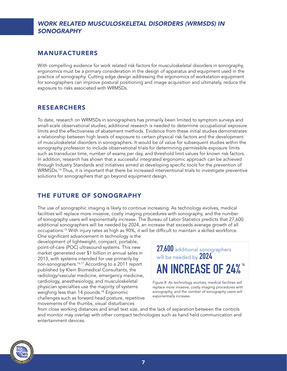## MANUFACTURERS

With compelling evidence for work related risk factors for musculoskeletal disorders in sonography, ergonomics must be a primary consideration in the design of apparatus and equipment used in the practice of sonography. Cutting edge design addressing the ergonomics of workstation equipment for sonographers can improve postural positioning and image acquisition and ultimately, reduce the exposure to risks associated with WRMSDs.

# RESEARCHERS

To date, research on WRMSDs in sonographers has primarily been limited to symptom surveys and small-scale observational studies; additional research is needed to determine occupational exposure limits and the effectiveness of abatement methods. Evidence from these initial studies demonstrates a relationship between high levels of exposure to certain physical risk factors and the development of musculoskeletal disorders in sonographers. It would be of value for subsequent studies within the sonography profession to include observational trials for determining permissible exposure limits such as transducer time, number of exams per day, and threshold limit values for known risk factors. In addition, research has shown that a successful integrated ergonomic approach can be achieved through Industry Standards and initiatives aimed at developing specific tools for the prevention of WRMSDs.14 Thus, it is important that there be increased interventional trials to investigate preventive solutions for sonographers that go beyond equipment design.

# THE FUTURE OF SONOGRAPHY

The use of sonographic imaging is likely to continue increasing. As technology evolves, medical facilities will replace more invasive, costly imaging procedures with sonography, and the number of sonography users will exponentially increase. The Bureau of Labor Statistics predicts that 27,600 additional sonographers will be needed by 2024, an increase that exceeds average growth of all occupations.15 With injury rates as high as 90%, it will be difficult to maintain a skilled workforce.

One significant advancement in technology is the development of lightweight, compact, portable, point-of-care (POC) ultrasound systems. This new market generated over \$1 billion in annual sales in 2013, with systems intended for use primarily by non-sonographers.16,17 According to a 2011 report published by Klein Biomedical Consultants, the radiology/vascular medicine, emergency medicine, cardiology, anesthesiology, and musculoskeletal physician specialties use the majority of systems weighing less than 14 pounds.<sup>18</sup> Ergonomic challenges such as forward head posture, repetitive movements of the thumbs, visual disturbances



*Figure 8. As technology evolves, medical facilities will replace more invasive, costly imaging procedures with sonography, and the number of sonography users will exponentially increase.*

from close working distances and small text size, and the lack of separation between the controls and monitor may overlap with other compact technologies such as hand held communication and entertainment devices.

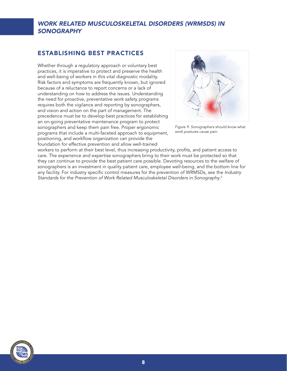# ESTABLISHING BEST PRACTICES

Whether through a regulatory approach or voluntary best practices, it is imperative to protect and preserve the health and well-being of workers in this vital diagnostic modality. Risk factors and symptoms are frequently known, but ignored because of a reluctance to report concerns or a lack of understanding on how to address the issues. Understanding the need for proactive, preventative work safety programs requires both the vigilance and reporting by sonographers, and vision and action on the part of management. The precedence must be to develop best practices for establishing an on-going preventative maintenance program to protect sonographers and keep them pain free. Proper ergonomic programs that include a multi-faceted approach to equipment, positioning, and workflow organization can provide the foundation for effective prevention and allow well-trained



*Figure 9. Sonographers should know what work postures cause pain.*

workers to perform at their best level, thus increasing productivity, profits, and patient access to care. The experience and expertise sonographers bring to their work must be protected so that they can continue to provide the best patient care possible. Devoting resources to the welfare of sonographers is an investment in quality patient care, employee well-being, and the bottom line for any facility. For industry specific control measures for the prevention of WRMSDs, see the *Industry Standards for the Prevention of Work Related Musculoskeletal Disorders in Sonography*. 5

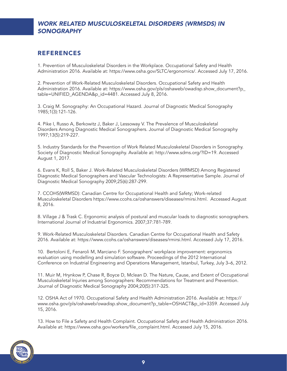# REFERENCES

1. Prevention of Musculoskeletal Disorders in the Workplace. Occupational Safety and Health Administration 2016. Available at: https://www.osha.gov/SLTC/ergonomics/. Accessed July 17, 2016.

2. Prevention of Work-Related Musculoskeletal Disorders. Occupational Safety and Health Administration 2016. Available at: https://www.osha.gov/pls/oshaweb/owadisp.show\_document?p\_ table=UNIFIED\_AGENDA&p\_id=4481. Accessed July 8, 2016.

3. Craig M. Sonography: An Occupational Hazard. Journal of Diagnostic Medical Sonography 1985;1(3):121-126.

4. Pike I, Russo A, Berkowitz J, Baker J, Lessoway V. The Prevalence of Musculoskeletal Disorders Among Diagnostic Medical Sonographers. Journal of Diagnostic Medical Sonography 1997;13(5):219-227.

5. Industry Standards for the Prevention of Work Related Musculoskeletal Disorders in Sonography. Society of Diagnostic Medical Sonography. Available at: http://www.sdms.org/?ID=19. Accessed August 1, 2017.

6. Evans K, Roll S, Baker J. Work-Related Musculoskeletal Disorders (WRMSD) Among Registered Diagnostic Medical Sonographers and Vascular Technologists: A Representative Sample. Journal of Diagnostic Medical Sonography 2009;25(6):287-299.

7. CCOHS(WRMSD): Canadian Centre for Occupational Health and Safety; Work-related Musculoskeletal Disorders https://www.ccohs.ca/oshanswers/diseases/rmirsi.html. Accessed August 8, 2016.

8. Village J & Trask C. Ergonomic analysis of postural and muscular loads to diagnostic sonographers. International Journal of Industrial Ergonomics. 2007;37:781-789.

9. Work-Related Musculoskeletal Disorders. Canadian Centre for Occupational Health and Safety 2016. Available at: https://www.ccohs.ca/oshanswers/diseases/rmirsi.html. Accessed July 17, 2016.

10. Bertoloni E, Fenaroli M, Marciano F. Sonographers' workplace improvement: ergonomics evaluation using modelling and simulation software. Proceedings of the 2012 International Conference on Industrial Engineering and Operations Management, Istanbul, Turkey, July 3–6, 2012.

11. Muir M, Hrynkow P, Chase R, Boyce D, Mclean D. The Nature, Cause, and Extent of Occupational Musculoskeletal Injuries among Sonographers: Recommendations for Treatment and Prevention. Journal of Diagnostic Medical Sonography 2004;20(5):317-325.

12. OSHA Act of 1970. Occupational Safety and Health Administration 2016. Available at: https:// www.osha.gov/pls/oshaweb/owadisp.show\_document?p\_table=OSHACT&p\_id=3359. Accessed July 15, 2016.

13. How to File a Safety and Health Complaint. Occupational Safety and Health Administration 2016. Available at: https://www.osha.gov/workers/file\_complaint.html. Accessed July 15, 2016.